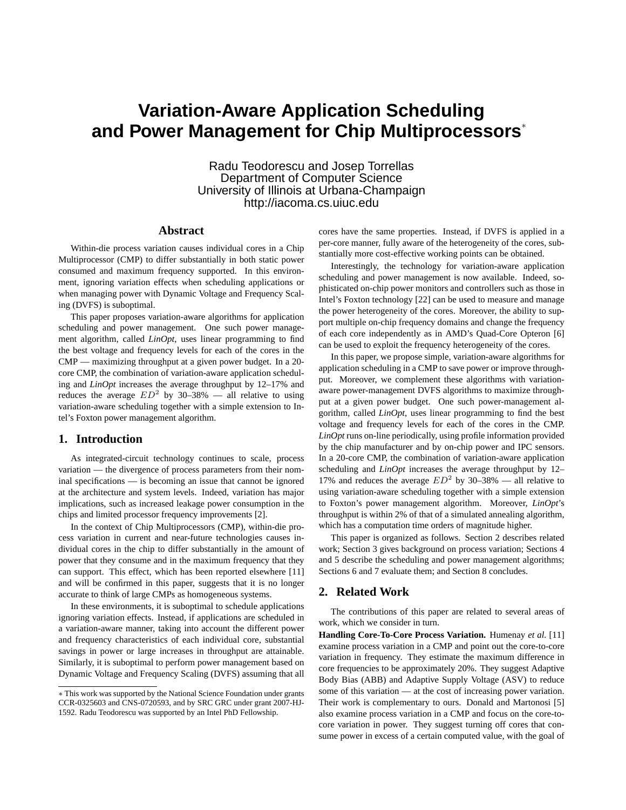# **Variation-Aware Application Scheduling and Power Management for Chip Multiprocessors**<sup>∗</sup>

Radu Teodorescu and Josep Torrellas Department of Computer Science University of Illinois at Urbana-Champaign http://iacoma.cs.uiuc.edu

# **Abstract**

Within-die process variation causes individual cores in a Chip Multiprocessor (CMP) to differ substantially in both static power consumed and maximum frequency supported. In this environment, ignoring variation effects when scheduling applications or when managing power with Dynamic Voltage and Frequency Scaling (DVFS) is suboptimal.

This paper proposes variation-aware algorithms for application scheduling and power management. One such power management algorithm, called *LinOpt*, uses linear programming to find the best voltage and frequency levels for each of the cores in the CMP — maximizing throughput at a given power budget. In a 20 core CMP, the combination of variation-aware application scheduling and *LinOpt* increases the average throughput by 12–17% and reduces the average  $ED^2$  by 30–38% — all relative to using variation-aware scheduling together with a simple extension to Intel's Foxton power management algorithm.

### **1. Introduction**

As integrated-circuit technology continues to scale, process variation — the divergence of process parameters from their nominal specifications — is becoming an issue that cannot be ignored at the architecture and system levels. Indeed, variation has major implications, such as increased leakage power consumption in the chips and limited processor frequency improvements [2].

In the context of Chip Multiprocessors (CMP), within-die process variation in current and near-future technologies causes individual cores in the chip to differ substantially in the amount of power that they consume and in the maximum frequency that they can support. This effect, which has been reported elsewhere [11] and will be confirmed in this paper, suggests that it is no longer accurate to think of large CMPs as homogeneous systems.

In these environments, it is suboptimal to schedule applications ignoring variation effects. Instead, if applications are scheduled in a variation-aware manner, taking into account the different power and frequency characteristics of each individual core, substantial savings in power or large increases in throughput are attainable. Similarly, it is suboptimal to perform power management based on Dynamic Voltage and Frequency Scaling (DVFS) assuming that all

cores have the same properties. Instead, if DVFS is applied in a per-core manner, fully aware of the heterogeneity of the cores, substantially more cost-effective working points can be obtained.

Interestingly, the technology for variation-aware application scheduling and power management is now available. Indeed, sophisticated on-chip power monitors and controllers such as those in Intel's Foxton technology [22] can be used to measure and manage the power heterogeneity of the cores. Moreover, the ability to support multiple on-chip frequency domains and change the frequency of each core independently as in AMD's Quad-Core Opteron [6] can be used to exploit the frequency heterogeneity of the cores.

In this paper, we propose simple, variation-aware algorithms for application scheduling in a CMP to save power or improve throughput. Moreover, we complement these algorithms with variationaware power-management DVFS algorithms to maximize throughput at a given power budget. One such power-management algorithm, called *LinOpt*, uses linear programming to find the best voltage and frequency levels for each of the cores in the CMP. *LinOpt* runs on-line periodically, using profile information provided by the chip manufacturer and by on-chip power and IPC sensors. In a 20-core CMP, the combination of variation-aware application scheduling and *LinOpt* increases the average throughput by 12– 17% and reduces the average  $ED^2$  by 30–38% — all relative to using variation-aware scheduling together with a simple extension to Foxton's power management algorithm. Moreover, *LinOpt*'s throughput is within 2% of that of a simulated annealing algorithm, which has a computation time orders of magnitude higher.

This paper is organized as follows. Section 2 describes related work; Section 3 gives background on process variation; Sections 4 and 5 describe the scheduling and power management algorithms; Sections 6 and 7 evaluate them; and Section 8 concludes.

# **2. Related Work**

The contributions of this paper are related to several areas of work, which we consider in turn.

**Handling Core-To-Core Process Variation.** Humenay *et al.* [11] examine process variation in a CMP and point out the core-to-core variation in frequency. They estimate the maximum difference in core frequencies to be approximately 20%. They suggest Adaptive Body Bias (ABB) and Adaptive Supply Voltage (ASV) to reduce some of this variation — at the cost of increasing power variation. Their work is complementary to ours. Donald and Martonosi [5] also examine process variation in a CMP and focus on the core-tocore variation in power. They suggest turning off cores that consume power in excess of a certain computed value, with the goal of

<sup>∗</sup> This work was supported by the National Science Foundation under grants CCR-0325603 and CNS-0720593, and by SRC GRC under grant 2007-HJ-1592. Radu Teodorescu was supported by an Intel PhD Fellowship.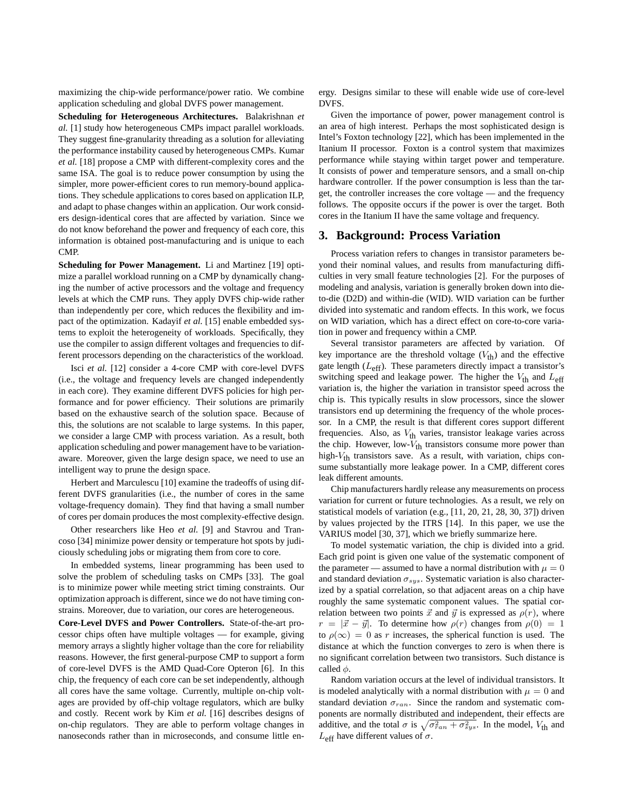maximizing the chip-wide performance/power ratio. We combine application scheduling and global DVFS power management.

**Scheduling for Heterogeneous Architectures.** Balakrishnan *et al.* [1] study how heterogeneous CMPs impact parallel workloads. They suggest fine-granularity threading as a solution for alleviating the performance instability caused by heterogeneous CMPs. Kumar *et al.* [18] propose a CMP with different-complexity cores and the same ISA. The goal is to reduce power consumption by using the simpler, more power-efficient cores to run memory-bound applications. They schedule applications to cores based on application ILP, and adapt to phase changes within an application. Our work considers design-identical cores that are affected by variation. Since we do not know beforehand the power and frequency of each core, this information is obtained post-manufacturing and is unique to each CMP.

**Scheduling for Power Management.** Li and Martinez [19] optimize a parallel workload running on a CMP by dynamically changing the number of active processors and the voltage and frequency levels at which the CMP runs. They apply DVFS chip-wide rather than independently per core, which reduces the flexibility and impact of the optimization. Kadayif *et al.* [15] enable embedded systems to exploit the heterogeneity of workloads. Specifically, they use the compiler to assign different voltages and frequencies to different processors depending on the characteristics of the workload.

Isci *et al.* [12] consider a 4-core CMP with core-level DVFS (i.e., the voltage and frequency levels are changed independently in each core). They examine different DVFS policies for high performance and for power efficiency. Their solutions are primarily based on the exhaustive search of the solution space. Because of this, the solutions are not scalable to large systems. In this paper, we consider a large CMP with process variation. As a result, both application scheduling and power management have to be variationaware. Moreover, given the large design space, we need to use an intelligent way to prune the design space.

Herbert and Marculescu [10] examine the tradeoffs of using different DVFS granularities (i.e., the number of cores in the same voltage-frequency domain). They find that having a small number of cores per domain produces the most complexity-effective design.

Other researchers like Heo *et al.* [9] and Stavrou and Trancoso [34] minimize power density or temperature hot spots by judiciously scheduling jobs or migrating them from core to core.

In embedded systems, linear programming has been used to solve the problem of scheduling tasks on CMPs [33]. The goal is to minimize power while meeting strict timing constraints. Our optimization approach is different, since we do not have timing constrains. Moreover, due to variation, our cores are heterogeneous.

**Core-Level DVFS and Power Controllers.** State-of-the-art processor chips often have multiple voltages — for example, giving memory arrays a slightly higher voltage than the core for reliability reasons. However, the first general-purpose CMP to support a form of core-level DVFS is the AMD Quad-Core Opteron [6]. In this chip, the frequency of each core can be set independently, although all cores have the same voltage. Currently, multiple on-chip voltages are provided by off-chip voltage regulators, which are bulky and costly. Recent work by Kim *et al.* [16] describes designs of on-chip regulators. They are able to perform voltage changes in nanoseconds rather than in microseconds, and consume little energy. Designs similar to these will enable wide use of core-level DVFS.

Given the importance of power, power management control is an area of high interest. Perhaps the most sophisticated design is Intel's Foxton technology [22], which has been implemented in the Itanium II processor. Foxton is a control system that maximizes performance while staying within target power and temperature. It consists of power and temperature sensors, and a small on-chip hardware controller. If the power consumption is less than the target, the controller increases the core voltage — and the frequency follows. The opposite occurs if the power is over the target. Both cores in the Itanium II have the same voltage and frequency.

## **3. Background: Process Variation**

Process variation refers to changes in transistor parameters beyond their nominal values, and results from manufacturing difficulties in very small feature technologies [2]. For the purposes of modeling and analysis, variation is generally broken down into dieto-die (D2D) and within-die (WID). WID variation can be further divided into systematic and random effects. In this work, we focus on WID variation, which has a direct effect on core-to-core variation in power and frequency within a CMP.

Several transistor parameters are affected by variation. Of key importance are the threshold voltage  $(V<sub>th</sub>)$  and the effective gate length  $(L_{\text{eff}})$ . These parameters directly impact a transistor's switching speed and leakage power. The higher the  $V_{\text{th}}$  and  $L_{\text{eff}}$ variation is, the higher the variation in transistor speed across the chip is. This typically results in slow processors, since the slower transistors end up determining the frequency of the whole processor. In a CMP, the result is that different cores support different frequencies. Also, as  $V_{\text{th}}$  varies, transistor leakage varies across the chip. However, low- $V_{\text{th}}$  transistors consume more power than high- $V_{th}$  transistors save. As a result, with variation, chips consume substantially more leakage power. In a CMP, different cores leak different amounts.

Chip manufacturers hardly release any measurements on process variation for current or future technologies. As a result, we rely on statistical models of variation (e.g., [11, 20, 21, 28, 30, 37]) driven by values projected by the ITRS [14]. In this paper, we use the VARIUS model [30, 37], which we briefly summarize here.

To model systematic variation, the chip is divided into a grid. Each grid point is given one value of the systematic component of the parameter — assumed to have a normal distribution with  $\mu = 0$ and standard deviation  $\sigma_{sys}$ . Systematic variation is also characterized by a spatial correlation, so that adjacent areas on a chip have roughly the same systematic component values. The spatial correlation between two points  $\vec{x}$  and  $\vec{y}$  is expressed as  $\rho(r)$ , where  $r = |\vec{x} - \vec{y}|$ . To determine how  $\rho(r)$  changes from  $\rho(0) = 1$ to  $\rho(\infty) = 0$  as r increases, the spherical function is used. The distance at which the function converges to zero is when there is no significant correlation between two transistors. Such distance is called  $\phi$ .

Random variation occurs at the level of individual transistors. It is modeled analytically with a normal distribution with  $\mu = 0$  and standard deviation  $\sigma_{ran}$ . Since the random and systematic components are normally distributed and independent, their effects are additive, and the total  $\sigma$  is  $\sqrt{\sigma_{ran}^2 + \sigma_{sys}^2}$ . In the model,  $V_{th}$  and  $L_{\text{eff}}$  have different values of  $\sigma$ .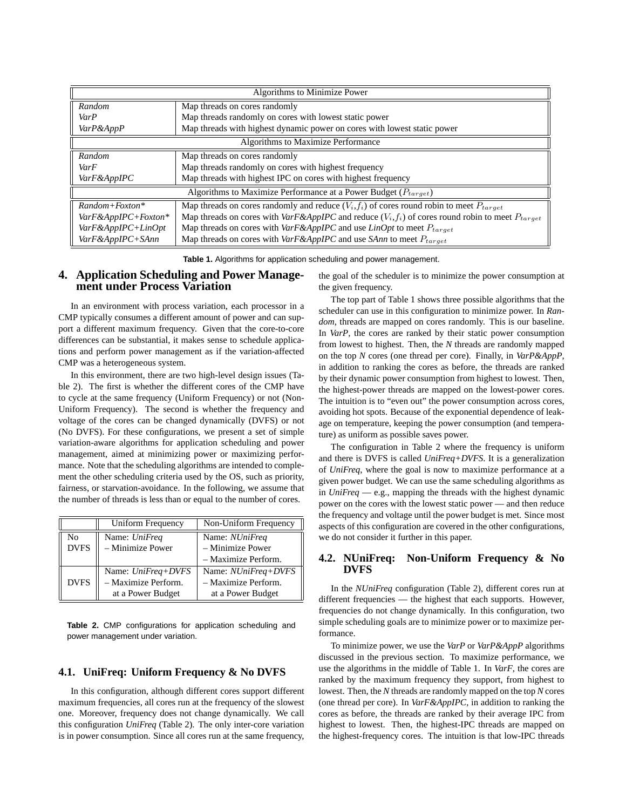| Algorithms to Minimize Power                                        |                                                                                                            |  |  |  |  |  |  |  |
|---------------------------------------------------------------------|------------------------------------------------------------------------------------------------------------|--|--|--|--|--|--|--|
| Random                                                              | Map threads on cores randomly                                                                              |  |  |  |  |  |  |  |
| VarP                                                                | Map threads randomly on cores with lowest static power                                                     |  |  |  |  |  |  |  |
| VarP&AppP                                                           | Map threads with highest dynamic power on cores with lowest static power                                   |  |  |  |  |  |  |  |
| Algorithms to Maximize Performance                                  |                                                                                                            |  |  |  |  |  |  |  |
| Random                                                              | Map threads on cores randomly                                                                              |  |  |  |  |  |  |  |
| VarF                                                                | Map threads randomly on cores with highest frequency                                                       |  |  |  |  |  |  |  |
| VarF&AppIPC                                                         | Map threads with highest IPC on cores with highest frequency                                               |  |  |  |  |  |  |  |
| Algorithms to Maximize Performance at a Power Budget $(P_{target})$ |                                                                                                            |  |  |  |  |  |  |  |
| $Random+Poston*$                                                    | Map threads on cores randomly and reduce $(V_i, f_i)$ of cores round robin to meet $P_{target}$            |  |  |  |  |  |  |  |
| VarF&AppIPC+Foxton*                                                 | Map threads on cores with $VarF\&AppIPC$ and reduce $(V_i, f_i)$ of cores round robin to meet $P_{target}$ |  |  |  |  |  |  |  |
| VarF&AppIPC+LinOpt                                                  | Map threads on cores with $VarF\&AppIPC$ and use $LinOpt$ to meet $P_{target}$                             |  |  |  |  |  |  |  |
| VarF&AppIPC+SAnn                                                    | Map threads on cores with $VarF\&AppIPC$ and use <i>SAnn</i> to meet $P_{target}$                          |  |  |  |  |  |  |  |

**Table 1.** Algorithms for application scheduling and power management.

# **4. Application Scheduling and Power Management under Process Variation**

In an environment with process variation, each processor in a CMP typically consumes a different amount of power and can support a different maximum frequency. Given that the core-to-core differences can be substantial, it makes sense to schedule applications and perform power management as if the variation-affected CMP was a heterogeneous system.

In this environment, there are two high-level design issues (Table 2). The first is whether the different cores of the CMP have to cycle at the same frequency (Uniform Frequency) or not (Non-Uniform Frequency). The second is whether the frequency and voltage of the cores can be changed dynamically (DVFS) or not (No DVFS). For these configurations, we present a set of simple variation-aware algorithms for application scheduling and power management, aimed at minimizing power or maximizing performance. Note that the scheduling algorithms are intended to complement the other scheduling criteria used by the OS, such as priority, fairness, or starvation-avoidance. In the following, we assume that the number of threads is less than or equal to the number of cores.

|             | Uniform Frequency    | Non-Uniform Frequency      |  |  |  |  |
|-------------|----------------------|----------------------------|--|--|--|--|
| No          | Name: UniFreq        | Name: <i>NUniFreq</i>      |  |  |  |  |
| <b>DVFS</b> | - Minimize Power     | - Minimize Power           |  |  |  |  |
|             |                      | - Maximize Perform.        |  |  |  |  |
|             | Name: $Unifreq+DVFS$ | Name: <i>NUniFreq+DVFS</i> |  |  |  |  |
| <b>DVFS</b> | - Maximize Perform.  | - Maximize Perform.        |  |  |  |  |
|             | at a Power Budget    | at a Power Budget          |  |  |  |  |

**Table 2.** CMP configurations for application scheduling and power management under variation.

# **4.1. UniFreq: Uniform Frequency & No DVFS**

In this configuration, although different cores support different maximum frequencies, all cores run at the frequency of the slowest one. Moreover, frequency does not change dynamically. We call this configuration *UniFreq* (Table 2). The only inter-core variation is in power consumption. Since all cores run at the same frequency, the goal of the scheduler is to minimize the power consumption at the given frequency.

The top part of Table 1 shows three possible algorithms that the scheduler can use in this configuration to minimize power. In *Random*, threads are mapped on cores randomly. This is our baseline. In *VarP*, the cores are ranked by their static power consumption from lowest to highest. Then, the *N* threads are randomly mapped on the top *N* cores (one thread per core). Finally, in *VarP&AppP*, in addition to ranking the cores as before, the threads are ranked by their dynamic power consumption from highest to lowest. Then, the highest-power threads are mapped on the lowest-power cores. The intuition is to "even out" the power consumption across cores, avoiding hot spots. Because of the exponential dependence of leakage on temperature, keeping the power consumption (and temperature) as uniform as possible saves power.

The configuration in Table 2 where the frequency is uniform and there is DVFS is called *UniFreq+DVFS*. It is a generalization of *UniFreq*, where the goal is now to maximize performance at a given power budget. We can use the same scheduling algorithms as in *UniFreq* — e.g., mapping the threads with the highest dynamic power on the cores with the lowest static power — and then reduce the frequency and voltage until the power budget is met. Since most aspects of this configuration are covered in the other configurations, we do not consider it further in this paper.

# **4.2. NUniFreq: Non-Uniform Frequency & No DVFS**

In the *NUniFreq* configuration (Table 2), different cores run at different frequencies — the highest that each supports. However, frequencies do not change dynamically. In this configuration, two simple scheduling goals are to minimize power or to maximize performance.

To minimize power, we use the *VarP* or *VarP&AppP* algorithms discussed in the previous section. To maximize performance, we use the algorithms in the middle of Table 1. In *VarF*, the cores are ranked by the maximum frequency they support, from highest to lowest. Then, the *N* threads are randomly mapped on the top *N* cores (one thread per core). In *VarF&AppIPC*, in addition to ranking the cores as before, the threads are ranked by their average IPC from highest to lowest. Then, the highest-IPC threads are mapped on the highest-frequency cores. The intuition is that low-IPC threads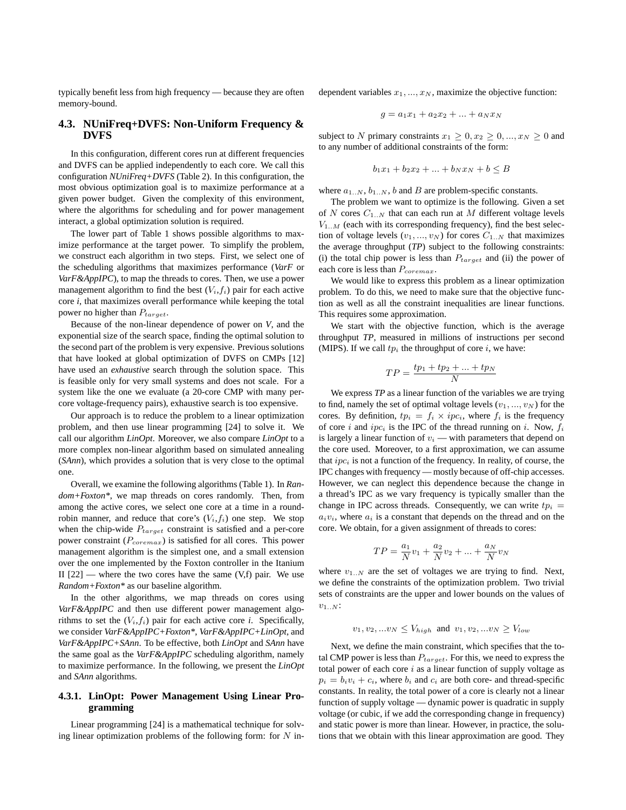typically benefit less from high frequency — because they are often memory-bound.

## **4.3. NUniFreq+DVFS: Non-Uniform Frequency & DVFS**

In this configuration, different cores run at different frequencies and DVFS can be applied independently to each core. We call this configuration *NUniFreq+DVFS* (Table 2). In this configuration, the most obvious optimization goal is to maximize performance at a given power budget. Given the complexity of this environment, where the algorithms for scheduling and for power management interact, a global optimization solution is required.

The lower part of Table 1 shows possible algorithms to maximize performance at the target power. To simplify the problem, we construct each algorithm in two steps. First, we select one of the scheduling algorithms that maximizes performance (*VarF* or *VarF&AppIPC*), to map the threads to cores. Then, we use a power management algorithm to find the best  $(V_i, f_i)$  pair for each active core *i*, that maximizes overall performance while keeping the total power no higher than  $P_{target}$ .

Because of the non-linear dependence of power on *V*, and the exponential size of the search space, finding the optimal solution to the second part of the problem is very expensive. Previous solutions that have looked at global optimization of DVFS on CMPs [12] have used an *exhaustive* search through the solution space. This is feasible only for very small systems and does not scale. For a system like the one we evaluate (a 20-core CMP with many percore voltage-frequency pairs), exhaustive search is too expensive.

Our approach is to reduce the problem to a linear optimization problem, and then use linear programming [24] to solve it. We call our algorithm *LinOpt*. Moreover, we also compare *LinOpt* to a more complex non-linear algorithm based on simulated annealing (*SAnn*), which provides a solution that is very close to the optimal one.

Overall, we examine the following algorithms (Table 1). In *Random+Foxton\**, we map threads on cores randomly. Then, from among the active cores, we select one core at a time in a roundrobin manner, and reduce that core's  $(V_i, f_i)$  one step. We stop when the chip-wide  $P_{target}$  constraint is satisfied and a per-core power constraint  $(P_{\text{corema}})$  is satisfied for all cores. This power management algorithm is the simplest one, and a small extension over the one implemented by the Foxton controller in the Itanium II  $[22]$  — where the two cores have the same  $(V,f)$  pair. We use *Random+Foxton\** as our baseline algorithm.

In the other algorithms, we map threads on cores using *VarF&AppIPC* and then use different power management algorithms to set the  $(V_i, f_i)$  pair for each active core *i*. Specifically, we consider *VarF&AppIPC+Foxton\**, *VarF&AppIPC+LinOpt*, and *VarF&AppIPC+SAnn*. To be effective, both *LinOpt* and *SAnn* have the same goal as the *VarF&AppIPC* scheduling algorithm, namely to maximize performance. In the following, we present the *LinOpt* and *SAnn* algorithms.

#### **4.3.1. LinOpt: Power Management Using Linear Programming**

Linear programming [24] is a mathematical technique for solving linear optimization problems of the following form: for  $N$  independent variables  $x_1, ..., x_N$ , maximize the objective function:

$$
g = a_1 x_1 + a_2 x_2 + \dots + a_N x_N
$$

subject to N primary constraints  $x_1 \geq 0, x_2 \geq 0, ..., x_N \geq 0$  and to any number of additional constraints of the form:

$$
b_1x_1 + b_2x_2 + \dots + b_Nx_N + b \le B
$$

where  $a_{1..N}, b_{1..N}, b$  and B are problem-specific constants.

The problem we want to optimize is the following. Given a set of  $N$  cores  $C_{1..N}$  that can each run at  $M$  different voltage levels  $V_{1..M}$  (each with its corresponding frequency), find the best selection of voltage levels  $(v_1, ..., v_N)$  for cores  $C_{1..N}$  that maximizes the average throughput (*TP*) subject to the following constraints: (i) the total chip power is less than  $P_{target}$  and (ii) the power of each core is less than  $P_{coremax}$ .

We would like to express this problem as a linear optimization problem. To do this, we need to make sure that the objective function as well as all the constraint inequalities are linear functions. This requires some approximation.

We start with the objective function, which is the average throughput *TP*, measured in millions of instructions per second (MIPS). If we call  $tp_i$  the throughput of core  $i$ , we have:

$$
TP = \frac{tp_1 + tp_2 + \dots + tp_N}{N}
$$

We express *TP* as a linear function of the variables we are trying to find, namely the set of optimal voltage levels  $(v_1, ..., v_N)$  for the cores. By definition,  $tp_i = f_i \times ipc_i$ , where  $f_i$  is the frequency of core i and  $ipc_i$  is the IPC of the thread running on i. Now,  $f_i$ is largely a linear function of  $v_i$  — with parameters that depend on the core used. Moreover, to a first approximation, we can assume that  $inc<sub>i</sub>$  is not a function of the frequency. In reality, of course, the IPC changes with frequency — mostly because of off-chip accesses. However, we can neglect this dependence because the change in a thread's IPC as we vary frequency is typically smaller than the change in IPC across threads. Consequently, we can write  $tp_i$  =  $a_i v_i$ , where  $a_i$  is a constant that depends on the thread and on the core. We obtain, for a given assignment of threads to cores:

$$
TP = \frac{a_1}{N}v_1 + \frac{a_2}{N}v_2 + \dots + \frac{a_N}{N}v_N
$$

where  $v_{1..N}$  are the set of voltages we are trying to find. Next, we define the constraints of the optimization problem. Two trivial sets of constraints are the upper and lower bounds on the values of  $v_{1..N}$ :

$$
v_1, v_2, ... v_N \le V_{high}
$$
 and  $v_1, v_2, ... v_N \ge V_{low}$ 

Next, we define the main constraint, which specifies that the total CMP power is less than  $P_{target}$ . For this, we need to express the total power of each core  $i$  as a linear function of supply voltage as  $p_i = b_i v_i + c_i$ , where  $b_i$  and  $c_i$  are both core- and thread-specific constants. In reality, the total power of a core is clearly not a linear function of supply voltage — dynamic power is quadratic in supply voltage (or cubic, if we add the corresponding change in frequency) and static power is more than linear. However, in practice, the solutions that we obtain with this linear approximation are good. They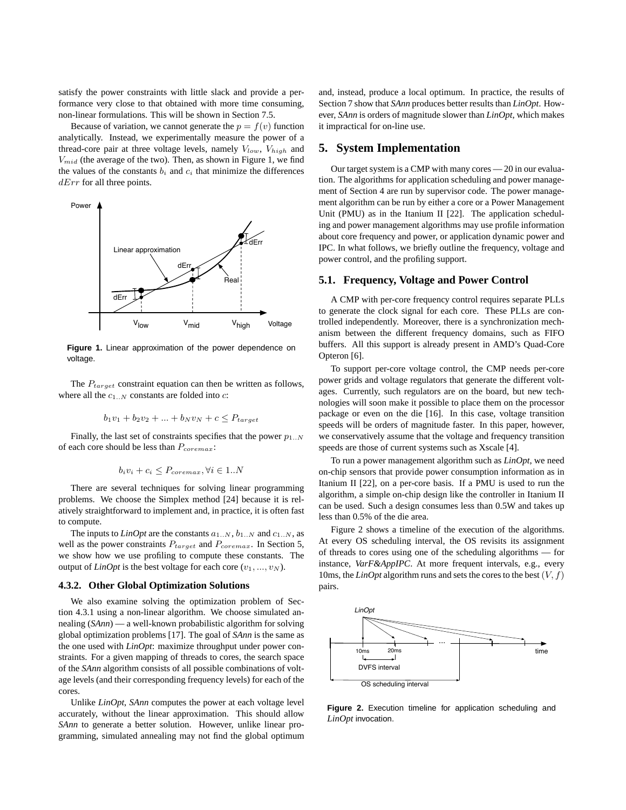satisfy the power constraints with little slack and provide a performance very close to that obtained with more time consuming, non-linear formulations. This will be shown in Section 7.5.

Because of variation, we cannot generate the  $p = f(v)$  function analytically. Instead, we experimentally measure the power of a thread-core pair at three voltage levels, namely  $V_{low}$ ,  $V_{high}$  and  $V_{mid}$  (the average of the two). Then, as shown in Figure 1, we find the values of the constants  $b_i$  and  $c_i$  that minimize the differences  $dErr$  for all three points.



**Figure 1.** Linear approximation of the power dependence on voltage.

The  $P_{target}$  constraint equation can then be written as follows, where all the  $c_{1..N}$  constants are folded into c:

$$
b_1v_1 + b_2v_2 + \dots + b_Nv_N + c \le P_{target}
$$

Finally, the last set of constraints specifies that the power  $p_{1..N}$ of each core should be less than  $P_{\text{coremax}}$ :

$$
b_i v_i + c_i \le P_{\text{coremax}}, \forall i \in 1..N
$$

There are several techniques for solving linear programming problems. We choose the Simplex method [24] because it is relatively straightforward to implement and, in practice, it is often fast to compute.

The inputs to *LinOpt* are the constants  $a_{1..N}$ ,  $b_{1..N}$  and  $c_{1..N}$ , as well as the power constraints  $P_{target}$  and  $P_{coremax}$ . In Section 5, we show how we use profiling to compute these constants. The output of *LinOpt* is the best voltage for each core  $(v_1, ..., v_N)$ .

#### **4.3.2. Other Global Optimization Solutions**

We also examine solving the optimization problem of Section 4.3.1 using a non-linear algorithm. We choose simulated annealing (*SAnn*) — a well-known probabilistic algorithm for solving global optimization problems [17]. The goal of *SAnn* is the same as the one used with *LinOpt*: maximize throughput under power constraints. For a given mapping of threads to cores, the search space of the *SAnn* algorithm consists of all possible combinations of voltage levels (and their corresponding frequency levels) for each of the cores.

Unlike *LinOpt*, *SAnn* computes the power at each voltage level accurately, without the linear approximation. This should allow *SAnn* to generate a better solution. However, unlike linear programming, simulated annealing may not find the global optimum and, instead, produce a local optimum. In practice, the results of Section 7 show that *SAnn* produces better results than *LinOpt*. However, *SAnn* is orders of magnitude slower than *LinOpt*, which makes it impractical for on-line use.

## **5. System Implementation**

Our target system is a CMP with many cores — 20 in our evaluation. The algorithms for application scheduling and power management of Section 4 are run by supervisor code. The power management algorithm can be run by either a core or a Power Management Unit (PMU) as in the Itanium II [22]. The application scheduling and power management algorithms may use profile information about core frequency and power, or application dynamic power and IPC. In what follows, we briefly outline the frequency, voltage and power control, and the profiling support.

#### **5.1. Frequency, Voltage and Power Control**

A CMP with per-core frequency control requires separate PLLs to generate the clock signal for each core. These PLLs are controlled independently. Moreover, there is a synchronization mechanism between the different frequency domains, such as FIFO buffers. All this support is already present in AMD's Quad-Core Opteron [6].

To support per-core voltage control, the CMP needs per-core power grids and voltage regulators that generate the different voltages. Currently, such regulators are on the board, but new technologies will soon make it possible to place them on the processor package or even on the die [16]. In this case, voltage transition speeds will be orders of magnitude faster. In this paper, however, we conservatively assume that the voltage and frequency transition speeds are those of current systems such as Xscale [4].

To run a power management algorithm such as *LinOpt*, we need on-chip sensors that provide power consumption information as in Itanium II [22], on a per-core basis. If a PMU is used to run the algorithm, a simple on-chip design like the controller in Itanium II can be used. Such a design consumes less than 0.5W and takes up less than 0.5% of the die area.

Figure 2 shows a timeline of the execution of the algorithms. At every OS scheduling interval, the OS revisits its assignment of threads to cores using one of the scheduling algorithms — for instance, *VarF&AppIPC*. At more frequent intervals, e.g., every 10ms, the *LinOpt* algorithm runs and sets the cores to the best  $(V, f)$ pairs.



**Figure 2.** Execution timeline for application scheduling and *LinOpt* invocation.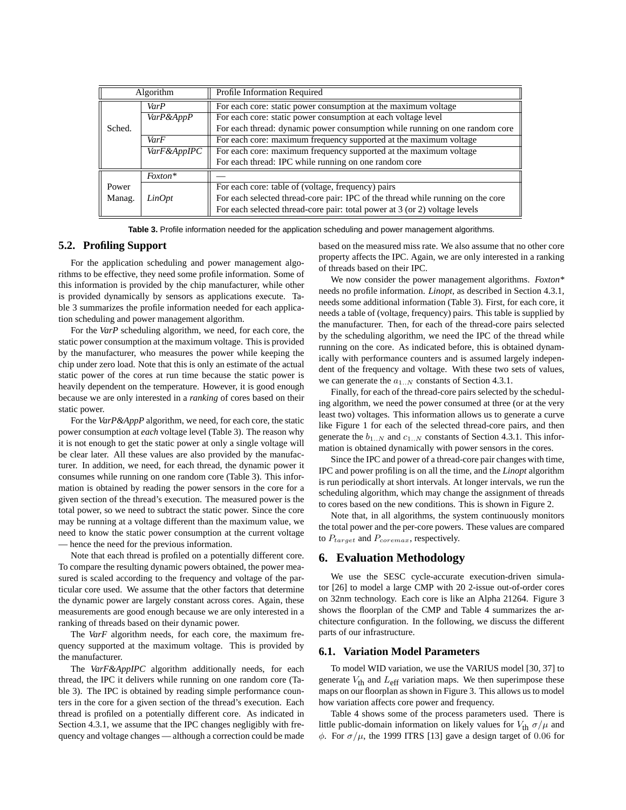| Algorithm |             | Profile Information Required                                                    |  |  |  |  |  |
|-----------|-------------|---------------------------------------------------------------------------------|--|--|--|--|--|
|           | VarP        | For each core: static power consumption at the maximum voltage                  |  |  |  |  |  |
|           | VarP&AppP   | For each core: static power consumption at each voltage level                   |  |  |  |  |  |
| Sched.    |             | For each thread: dynamic power consumption while running on one random core     |  |  |  |  |  |
|           | VarF        | For each core: maximum frequency supported at the maximum voltage               |  |  |  |  |  |
|           | VarF&AppIPC | For each core: maximum frequency supported at the maximum voltage               |  |  |  |  |  |
|           |             | For each thread: IPC while running on one random core                           |  |  |  |  |  |
|           | Foxton*     |                                                                                 |  |  |  |  |  |
| Power     |             | For each core: table of (voltage, frequency) pairs                              |  |  |  |  |  |
| Manag.    | LinOpt      | For each selected thread-core pair: IPC of the thread while running on the core |  |  |  |  |  |
|           |             | For each selected thread-core pair: total power at 3 (or 2) voltage levels      |  |  |  |  |  |

**Table 3.** Profile information needed for the application scheduling and power management algorithms.

#### **5.2. Profiling Support**

For the application scheduling and power management algorithms to be effective, they need some profile information. Some of this information is provided by the chip manufacturer, while other is provided dynamically by sensors as applications execute. Table 3 summarizes the profile information needed for each application scheduling and power management algorithm.

For the *VarP* scheduling algorithm, we need, for each core, the static power consumption at the maximum voltage. This is provided by the manufacturer, who measures the power while keeping the chip under zero load. Note that this is only an estimate of the actual static power of the cores at run time because the static power is heavily dependent on the temperature. However, it is good enough because we are only interested in a *ranking* of cores based on their static power.

For the *VarP&AppP* algorithm, we need, for each core, the static power consumption at *each* voltage level (Table 3). The reason why it is not enough to get the static power at only a single voltage will be clear later. All these values are also provided by the manufacturer. In addition, we need, for each thread, the dynamic power it consumes while running on one random core (Table 3). This information is obtained by reading the power sensors in the core for a given section of the thread's execution. The measured power is the total power, so we need to subtract the static power. Since the core may be running at a voltage different than the maximum value, we need to know the static power consumption at the current voltage — hence the need for the previous information.

Note that each thread is profiled on a potentially different core. To compare the resulting dynamic powers obtained, the power measured is scaled according to the frequency and voltage of the particular core used. We assume that the other factors that determine the dynamic power are largely constant across cores. Again, these measurements are good enough because we are only interested in a ranking of threads based on their dynamic power.

The *VarF* algorithm needs, for each core, the maximum frequency supported at the maximum voltage. This is provided by the manufacturer.

The *VarF&AppIPC* algorithm additionally needs, for each thread, the IPC it delivers while running on one random core (Table 3). The IPC is obtained by reading simple performance counters in the core for a given section of the thread's execution. Each thread is profiled on a potentially different core. As indicated in Section 4.3.1, we assume that the IPC changes negligibly with frequency and voltage changes — although a correction could be made

based on the measured miss rate. We also assume that no other core property affects the IPC. Again, we are only interested in a ranking of threads based on their IPC.

We now consider the power management algorithms. *Foxton\** needs no profile information. *Linopt*, as described in Section 4.3.1, needs some additional information (Table 3). First, for each core, it needs a table of (voltage, frequency) pairs. This table is supplied by the manufacturer. Then, for each of the thread-core pairs selected by the scheduling algorithm, we need the IPC of the thread while running on the core. As indicated before, this is obtained dynamically with performance counters and is assumed largely independent of the frequency and voltage. With these two sets of values, we can generate the  $a_{1..N}$  constants of Section 4.3.1.

Finally, for each of the thread-core pairs selected by the scheduling algorithm, we need the power consumed at three (or at the very least two) voltages. This information allows us to generate a curve like Figure 1 for each of the selected thread-core pairs, and then generate the  $b_{1..N}$  and  $c_{1..N}$  constants of Section 4.3.1. This information is obtained dynamically with power sensors in the cores.

Since the IPC and power of a thread-core pair changes with time, IPC and power profiling is on all the time, and the *Linopt* algorithm is run periodically at short intervals. At longer intervals, we run the scheduling algorithm, which may change the assignment of threads to cores based on the new conditions. This is shown in Figure 2.

Note that, in all algorithms, the system continuously monitors the total power and the per-core powers. These values are compared to  $P_{target}$  and  $P_{coremax}$ , respectively.

## **6. Evaluation Methodology**

We use the SESC cycle-accurate execution-driven simulator [26] to model a large CMP with 20 2-issue out-of-order cores on 32nm technology. Each core is like an Alpha 21264. Figure 3 shows the floorplan of the CMP and Table 4 summarizes the architecture configuration. In the following, we discuss the different parts of our infrastructure.

## **6.1. Variation Model Parameters**

To model WID variation, we use the VARIUS model [30, 37] to generate  $V_{\text{th}}$  and  $L_{\text{eff}}$  variation maps. We then superimpose these maps on our floorplan as shown in Figure 3. This allows us to model how variation affects core power and frequency.

Table 4 shows some of the process parameters used. There is little public-domain information on likely values for  $V_{th} \sigma / \mu$  and φ. For  $\sigma/\mu$ , the 1999 ITRS [13] gave a design target of 0.06 for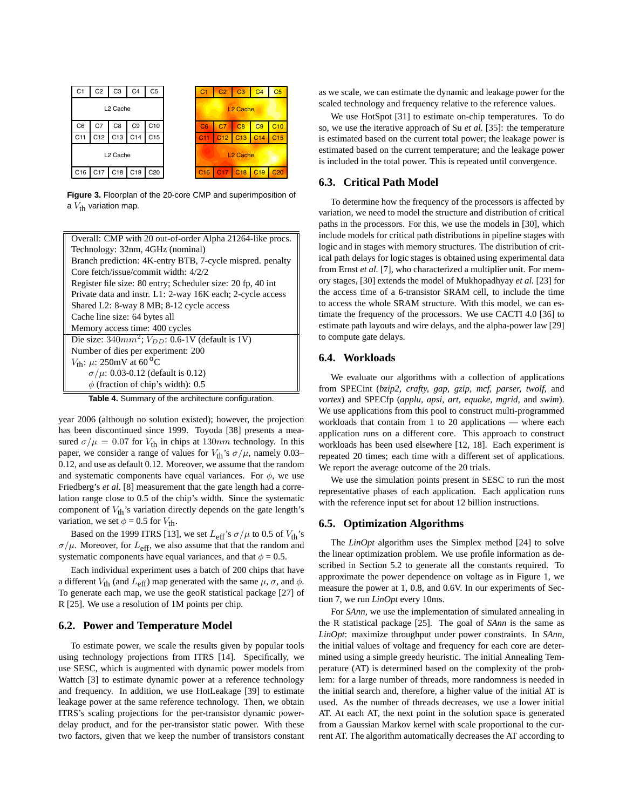

**Figure 3.** Floorplan of the 20-core CMP and superimposition of a  $V_{\text{th}}$  variation map.

| Overall: CMP with 20 out-of-order Alpha 21264-like procs.   |  |  |  |  |  |  |  |
|-------------------------------------------------------------|--|--|--|--|--|--|--|
| Technology: 32nm, 4GHz (nominal)                            |  |  |  |  |  |  |  |
| Branch prediction: 4K-entry BTB, 7-cycle mispred. penalty   |  |  |  |  |  |  |  |
| Core fetch/issue/commit width: 4/2/2                        |  |  |  |  |  |  |  |
| Register file size: 80 entry; Scheduler size: 20 fp, 40 int |  |  |  |  |  |  |  |
| Private data and instr. L1: 2-way 16K each; 2-cycle access  |  |  |  |  |  |  |  |
| Shared L2: 8-way 8 MB; 8-12 cycle access                    |  |  |  |  |  |  |  |
| Cache line size: 64 bytes all                               |  |  |  |  |  |  |  |
| Memory access time: 400 cycles                              |  |  |  |  |  |  |  |
| Die size: $340mm^2$ ; $V_{DD}$ : 0.6-1V (default is 1V)     |  |  |  |  |  |  |  |
| Number of dies per experiment: 200                          |  |  |  |  |  |  |  |
| $V_{\text{th}}$ : $\mu$ : 250mV at 60 <sup>o</sup> C        |  |  |  |  |  |  |  |
| $\sigma/\mu$ : 0.03-0.12 (default is 0.12)                  |  |  |  |  |  |  |  |
| $\phi$ (fraction of chip's width): 0.5                      |  |  |  |  |  |  |  |

**Table 4.** Summary of the architecture configuration.

year 2006 (although no solution existed); however, the projection has been discontinued since 1999. Toyoda [38] presents a measured  $\sigma/\mu = 0.07$  for  $V_{\text{th}}$  in chips at  $130nm$  technology. In this paper, we consider a range of values for  $V_{th}$ 's  $\sigma/\mu$ , namely 0.03– 0.12, and use as default 0.12. Moreover, we assume that the random and systematic components have equal variances. For  $\phi$ , we use Friedberg's *et al.* [8] measurement that the gate length had a correlation range close to 0.5 of the chip's width. Since the systematic component of  $V_{\text{th}}$ 's variation directly depends on the gate length's variation, we set  $\phi = 0.5$  for  $V_{\text{th}}$ .

Based on the 1999 ITRS [13], we set  $L_{\text{eff}}$ 's  $\sigma/\mu$  to 0.5 of  $V_{\text{th}}$ 's  $\sigma/\mu$ . Moreover, for  $L_{\text{eff}}$ , we also assume that that the random and systematic components have equal variances, and that  $\phi = 0.5$ .

Each individual experiment uses a batch of 200 chips that have a different  $V_{\text{th}}$  (and  $L_{\text{eff}}$ ) map generated with the same  $\mu$ ,  $\sigma$ , and  $\phi$ . To generate each map, we use the geoR statistical package [27] of R [25]. We use a resolution of 1M points per chip.

#### **6.2. Power and Temperature Model**

To estimate power, we scale the results given by popular tools using technology projections from ITRS [14]. Specifically, we use SESC, which is augmented with dynamic power models from Wattch [3] to estimate dynamic power at a reference technology and frequency. In addition, we use HotLeakage [39] to estimate leakage power at the same reference technology. Then, we obtain ITRS's scaling projections for the per-transistor dynamic powerdelay product, and for the per-transistor static power. With these two factors, given that we keep the number of transistors constant as we scale, we can estimate the dynamic and leakage power for the scaled technology and frequency relative to the reference values.

We use HotSpot [31] to estimate on-chip temperatures. To do so, we use the iterative approach of Su *et al.* [35]: the temperature is estimated based on the current total power; the leakage power is estimated based on the current temperature; and the leakage power is included in the total power. This is repeated until convergence.

## **6.3. Critical Path Model**

To determine how the frequency of the processors is affected by variation, we need to model the structure and distribution of critical paths in the processors. For this, we use the models in [30], which include models for critical path distributions in pipeline stages with logic and in stages with memory structures. The distribution of critical path delays for logic stages is obtained using experimental data from Ernst *et al.* [7], who characterized a multiplier unit. For memory stages, [30] extends the model of Mukhopadhyay *et al.* [23] for the access time of a 6-transistor SRAM cell, to include the time to access the whole SRAM structure. With this model, we can estimate the frequency of the processors. We use CACTI 4.0 [36] to estimate path layouts and wire delays, and the alpha-power law [29] to compute gate delays.

#### **6.4. Workloads**

We evaluate our algorithms with a collection of applications from SPECint (*bzip2, crafty, gap, gzip, mcf, parser, twolf,* and *vortex*) and SPECfp (*applu, apsi, art, equake, mgrid,* and *swim*). We use applications from this pool to construct multi-programmed workloads that contain from 1 to 20 applications — where each application runs on a different core. This approach to construct workloads has been used elsewhere [12, 18]. Each experiment is repeated 20 times; each time with a different set of applications. We report the average outcome of the 20 trials.

We use the simulation points present in SESC to run the most representative phases of each application. Each application runs with the reference input set for about 12 billion instructions.

#### **6.5. Optimization Algorithms**

The *LinOpt* algorithm uses the Simplex method [24] to solve the linear optimization problem. We use profile information as described in Section 5.2 to generate all the constants required. To approximate the power dependence on voltage as in Figure 1, we measure the power at 1, 0.8, and 0.6V. In our experiments of Section 7, we run *LinOpt* every 10ms.

For *SAnn*, we use the implementation of simulated annealing in the R statistical package [25]. The goal of *SAnn* is the same as *LinOpt*: maximize throughput under power constraints. In *SAnn*, the initial values of voltage and frequency for each core are determined using a simple greedy heuristic. The initial Annealing Temperature (AT) is determined based on the complexity of the problem: for a large number of threads, more randomness is needed in the initial search and, therefore, a higher value of the initial AT is used. As the number of threads decreases, we use a lower initial AT. At each AT, the next point in the solution space is generated from a Gaussian Markov kernel with scale proportional to the current AT. The algorithm automatically decreases the AT according to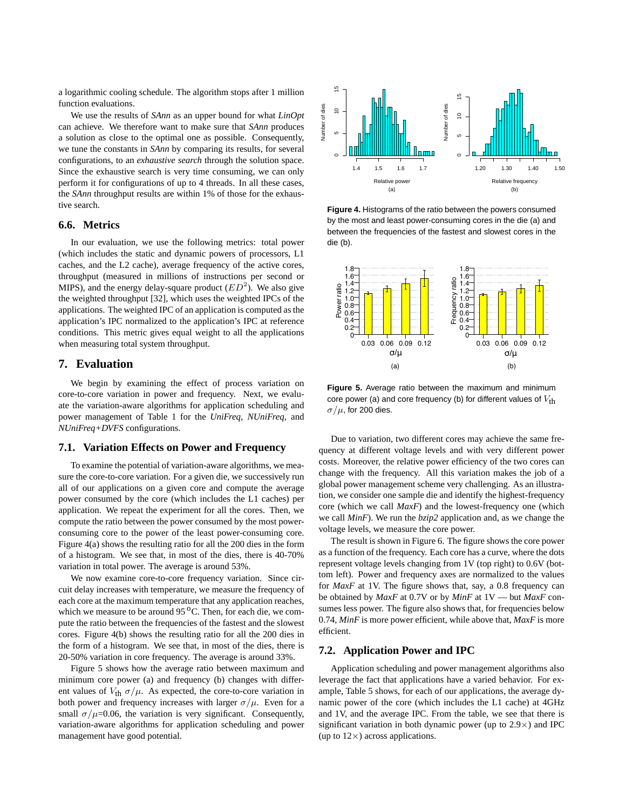a logarithmic cooling schedule. The algorithm stops after 1 million function evaluations.

We use the results of *SAnn* as an upper bound for what *LinOpt* can achieve. We therefore want to make sure that *SAnn* produces a solution as close to the optimal one as possible. Consequently, we tune the constants in *SAnn* by comparing its results, for several configurations, to an *exhaustive search* through the solution space. Since the exhaustive search is very time consuming, we can only perform it for configurations of up to 4 threads. In all these cases, the *SAnn* throughput results are within 1% of those for the exhaustive search.

## **6.6. Metrics**

In our evaluation, we use the following metrics: total power (which includes the static and dynamic powers of processors, L1 caches, and the L2 cache), average frequency of the active cores, throughput (measured in millions of instructions per second or MIPS), and the energy delay-square product  $(ED<sup>2</sup>)$ . We also give the weighted throughput [32], which uses the weighted IPCs of the applications. The weighted IPC of an application is computed as the application's IPC normalized to the application's IPC at reference conditions. This metric gives equal weight to all the applications when measuring total system throughput.

# **7. Evaluation**

We begin by examining the effect of process variation on core-to-core variation in power and frequency. Next, we evaluate the variation-aware algorithms for application scheduling and power management of Table 1 for the *UniFreq, NUniFreq*, and *NUniFreq+DVFS* configurations.

#### **7.1. Variation Effects on Power and Frequency**

To examine the potential of variation-aware algorithms, we measure the core-to-core variation. For a given die, we successively run all of our applications on a given core and compute the average power consumed by the core (which includes the L1 caches) per application. We repeat the experiment for all the cores. Then, we compute the ratio between the power consumed by the most powerconsuming core to the power of the least power-consuming core. Figure 4(a) shows the resulting ratio for all the 200 dies in the form of a histogram. We see that, in most of the dies, there is 40-70% variation in total power. The average is around 53%.

We now examine core-to-core frequency variation. Since circuit delay increases with temperature, we measure the frequency of each core at the maximum temperature that any application reaches, which we measure to be around  $95<sup>o</sup>C$ . Then, for each die, we compute the ratio between the frequencies of the fastest and the slowest cores. Figure 4(b) shows the resulting ratio for all the 200 dies in the form of a histogram. We see that, in most of the dies, there is 20-50% variation in core frequency. The average is around 33%.

Figure 5 shows how the average ratio between maximum and minimum core power (a) and frequency (b) changes with different values of  $V_{\text{th}} \sigma / \mu$ . As expected, the core-to-core variation in both power and frequency increases with larger  $\sigma/\mu$ . Even for a small  $\sigma/\mu$ =0.06, the variation is very significant. Consequently, variation-aware algorithms for application scheduling and power management have good potential.



**Figure 4.** Histograms of the ratio between the powers consumed by the most and least power-consuming cores in the die (a) and between the frequencies of the fastest and slowest cores in the die (b).



**Figure 5.** Average ratio between the maximum and minimum core power (a) and core frequency (b) for different values of  $V_{\text{th}}$  $\sigma/\mu$ , for 200 dies.

Due to variation, two different cores may achieve the same frequency at different voltage levels and with very different power costs. Moreover, the relative power efficiency of the two cores can change with the frequency. All this variation makes the job of a global power management scheme very challenging. As an illustration, we consider one sample die and identify the highest-frequency core (which we call *MaxF*) and the lowest-frequency one (which we call *MinF*). We run the *bzip2* application and, as we change the voltage levels, we measure the core power.

The result is shown in Figure 6. The figure shows the core power as a function of the frequency. Each core has a curve, where the dots represent voltage levels changing from 1V (top right) to 0.6V (bottom left). Power and frequency axes are normalized to the values for *MaxF* at 1V. The figure shows that, say, a 0.8 frequency can be obtained by *MaxF* at 0.7V or by *MinF* at 1V — but *MaxF* consumes less power. The figure also shows that, for frequencies below 0.74, *MinF* is more power efficient, while above that, *MaxF* is more efficient.

#### **7.2. Application Power and IPC**

Application scheduling and power management algorithms also leverage the fact that applications have a varied behavior. For example, Table 5 shows, for each of our applications, the average dynamic power of the core (which includes the L1 cache) at 4GHz and 1V, and the average IPC. From the table, we see that there is significant variation in both dynamic power (up to  $2.9 \times$ ) and IPC (up to  $12\times$ ) across applications.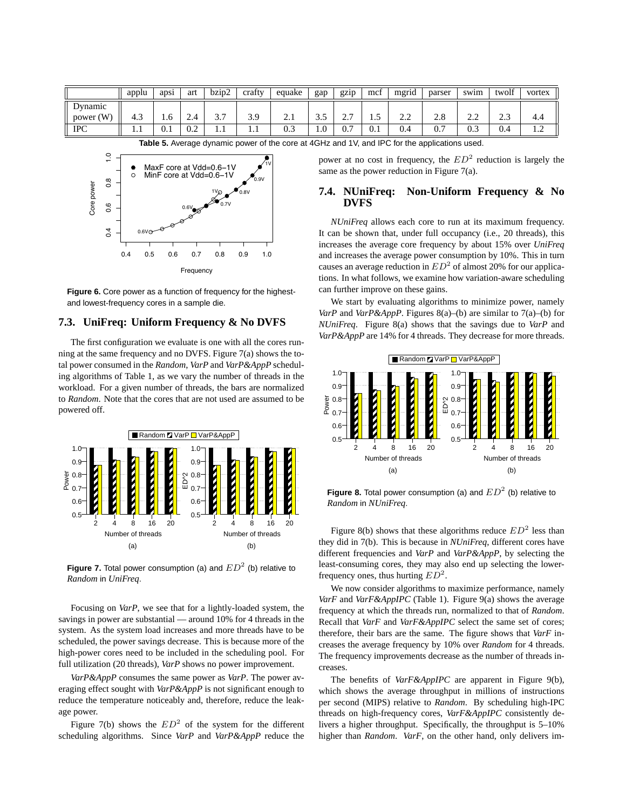|             | applu | apsi | art | $bz_1p_2$             | crafty | equake     | gap  | gzip           | mct | .<br>mgrid | parser    | swim     | twolf            | vortex         |
|-------------|-------|------|-----|-----------------------|--------|------------|------|----------------|-----|------------|-----------|----------|------------------|----------------|
| Dynamic     |       |      |     |                       |        |            |      |                |     |            |           |          |                  |                |
| power $(W)$ | 4.3   | 1.U  | 4.4 | $\sim$ $\sim$<br>ر. د | 3.9    | $\sim$ . 1 | ر. ر | <u>، ، ، ،</u> | سد  | 2.L        | $\sim$ .0 | <u>.</u> | $\sim$<br>ر. . ب | 4.4            |
| <b>IPC</b>  |       | v. 1 | 0.2 | 1.1                   | 1.1    | 0.3        | 1.0  | 0.7            | 0.1 | 0.4        | v.        | 0.3      | 0.4              | $\overline{1}$ |



**Table 5.** Average dynamic power of the core at 4GHz and 1V, and IPC for the applications used.

power at no cost in frequency, the  $ED^2$  reduction is largely the same as the power reduction in Figure 7(a).

# **7.4. NUniFreq: Non-Uniform Frequency & No DVFS**

*NUniFreq* allows each core to run at its maximum frequency. It can be shown that, under full occupancy (i.e., 20 threads), this increases the average core frequency by about 15% over *UniFreq* and increases the average power consumption by 10%. This in turn causes an average reduction in  $ED^2$  of almost 20% for our applications. In what follows, we examine how variation-aware scheduling can further improve on these gains.

We start by evaluating algorithms to minimize power, namely *VarP* and *VarP&AppP*. Figures 8(a)–(b) are similar to 7(a)–(b) for *NUniFreq*. Figure 8(a) shows that the savings due to *VarP* and *VarP&AppP* are 14% for 4 threads. They decrease for more threads.



**Figure 8.** Total power consumption (a) and  $ED^2$  (b) relative to *Random* in *NUniFreq*.

Figure 8(b) shows that these algorithms reduce  $ED^2$  less than they did in 7(b). This is because in *NUniFreq*, different cores have different frequencies and *VarP* and *VarP&AppP*, by selecting the least-consuming cores, they may also end up selecting the lowerfrequency ones, thus hurting  $ED^2$ .

We now consider algorithms to maximize performance, namely *VarF* and *VarF&AppIPC* (Table 1). Figure 9(a) shows the average frequency at which the threads run, normalized to that of *Random*. Recall that *VarF* and *VarF&AppIPC* select the same set of cores; therefore, their bars are the same. The figure shows that *VarF* increases the average frequency by 10% over *Random* for 4 threads. The frequency improvements decrease as the number of threads increases.

The benefits of *VarF&AppIPC* are apparent in Figure 9(b), which shows the average throughput in millions of instructions per second (MIPS) relative to *Random*. By scheduling high-IPC threads on high-frequency cores, *VarF&AppIPC* consistently delivers a higher throughput. Specifically, the throughput is 5–10% higher than *Random*. *VarF*, on the other hand, only delivers im-

**Figure 6.** Core power as a function of frequency for the highestand lowest-frequency cores in a sample die.

#### **7.3. UniFreq: Uniform Frequency & No DVFS**

The first configuration we evaluate is one with all the cores running at the same frequency and no DVFS. Figure 7(a) shows the total power consumed in the *Random*, *VarP* and *VarP&AppP* scheduling algorithms of Table 1, as we vary the number of threads in the workload. For a given number of threads, the bars are normalized to *Random*. Note that the cores that are not used are assumed to be powered off.



**Figure 7.** Total power consumption (a) and  $ED^2$  (b) relative to *Random* in *UniFreq*.

Focusing on *VarP*, we see that for a lightly-loaded system, the savings in power are substantial — around 10% for 4 threads in the system. As the system load increases and more threads have to be scheduled, the power savings decrease. This is because more of the high-power cores need to be included in the scheduling pool. For full utilization (20 threads), *VarP* shows no power improvement.

*VarP&AppP* consumes the same power as *VarP*. The power averaging effect sought with *VarP&AppP* is not significant enough to reduce the temperature noticeably and, therefore, reduce the leakage power.

Figure 7(b) shows the  $ED^2$  of the system for the different scheduling algorithms. Since *VarP* and *VarP&AppP* reduce the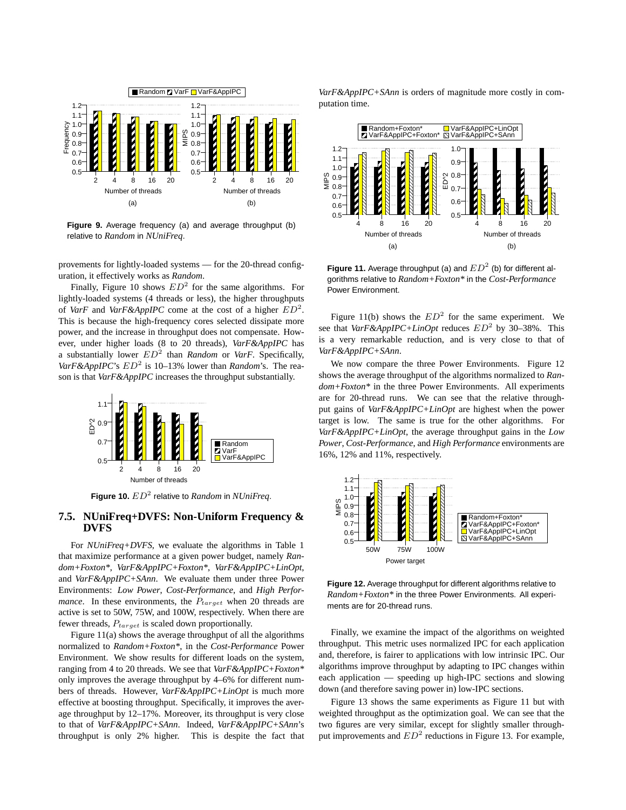

**Figure 9.** Average frequency (a) and average throughput (b) relative to *Random* in *NUniFreq*.

provements for lightly-loaded systems — for the 20-thread configuration, it effectively works as *Random*.

Finally, Figure 10 shows  $ED^2$  for the same algorithms. For lightly-loaded systems (4 threads or less), the higher throughputs of *VarF* and *VarF&AppIPC* come at the cost of a higher  $ED^2$ . This is because the high-frequency cores selected dissipate more power, and the increase in throughput does not compensate. However, under higher loads (8 to 20 threads), *VarF&AppIPC* has a substantially lower  $ED^2$  than *Random* or *VarF*. Specifically,  $VarF\&AppIPC$ 's  $ED^2$  is 10–13% lower than *Random*'s. The reason is that *VarF&AppIPC* increases the throughput substantially.



**Figure 10.**  $ED^2$  relative to *Random* in *NUniFreq*.

## **7.5. NUniFreq+DVFS: Non-Uniform Frequency & DVFS**

For *NUniFreq+DVFS*, we evaluate the algorithms in Table 1 that maximize performance at a given power budget, namely *Random+Foxton\**, *VarF&AppIPC+Foxton\**, *VarF&AppIPC+LinOpt*, and *VarF&AppIPC+SAnn*. We evaluate them under three Power Environments: *Low Power*, *Cost-Performance*, and *High Performance*. In these environments, the  $P_{target}$  when 20 threads are active is set to 50W, 75W, and 100W, respectively. When there are fewer threads,  $P_{target}$  is scaled down proportionally.

Figure 11(a) shows the average throughput of all the algorithms normalized to *Random+Foxton\**, in the *Cost-Performance* Power Environment. We show results for different loads on the system, ranging from 4 to 20 threads. We see that *VarF&AppIPC+Foxton\** only improves the average throughput by 4–6% for different numbers of threads. However, *VarF&AppIPC+LinOpt* is much more effective at boosting throughput. Specifically, it improves the average throughput by 12–17%. Moreover, its throughput is very close to that of *VarF&AppIPC+SAnn*. Indeed, *VarF&AppIPC+SAnn*'s throughput is only 2% higher. This is despite the fact that

*VarF&AppIPC+SAnn* is orders of magnitude more costly in computation time.



Figure 11. Average throughput (a) and  $ED^2$  (b) for different algorithms relative to *Random+Foxton\** in the *Cost-Performance* Power Environment.

Figure 11(b) shows the  $ED^2$  for the same experiment. We see that  $VarF\&AppIPC+LinOpt$  reduces  $ED^2$  by 30–38%. This is a very remarkable reduction, and is very close to that of *VarF&AppIPC+SAnn*.

We now compare the three Power Environments. Figure 12 shows the average throughput of the algorithms normalized to *Random+Foxton\** in the three Power Environments. All experiments are for 20-thread runs. We can see that the relative throughput gains of *VarF&AppIPC+LinOpt* are highest when the power target is low. The same is true for the other algorithms. For *VarF&AppIPC+LinOpt*, the average throughput gains in the *Low Power*, *Cost-Performance*, and *High Performance* environments are 16%, 12% and 11%, respectively.



**Figure 12.** Average throughput for different algorithms relative to *Random+Foxton\** in the three Power Environments. All experiments are for 20-thread runs.

Finally, we examine the impact of the algorithms on weighted throughput. This metric uses normalized IPC for each application and, therefore, is fairer to applications with low intrinsic IPC. Our algorithms improve throughput by adapting to IPC changes within each application — speeding up high-IPC sections and slowing down (and therefore saving power in) low-IPC sections.

Figure 13 shows the same experiments as Figure 11 but with weighted throughput as the optimization goal. We can see that the two figures are very similar, except for slightly smaller throughput improvements and  $ED^2$  reductions in Figure 13. For example,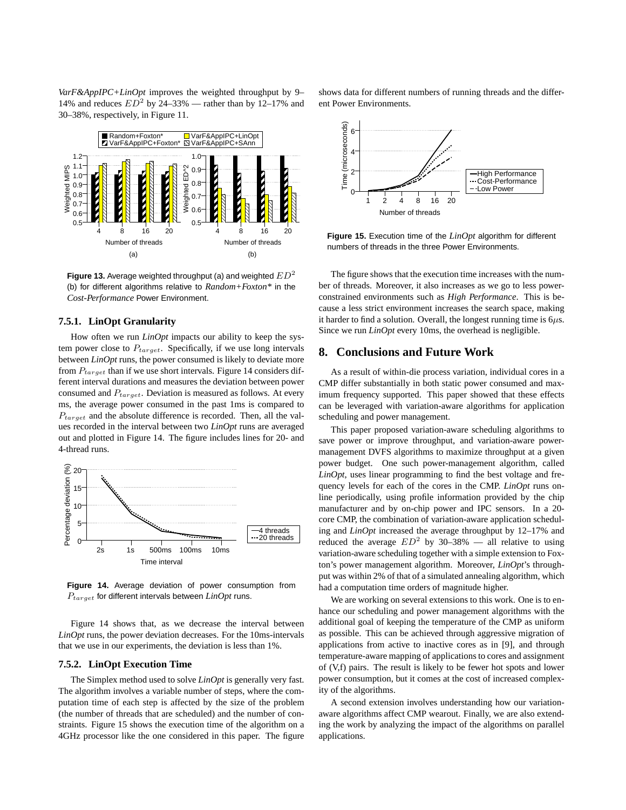*VarF&AppIPC+LinOpt* improves the weighted throughput by 9– 14% and reduces  $ED^2$  by 24-33% — rather than by 12-17% and 30–38%, respectively, in Figure 11.



**Figure 13.** Average weighted throughput (a) and weighted  $ED^2$ (b) for different algorithms relative to *Random+Foxton\** in the *Cost-Performance* Power Environment.

#### **7.5.1. LinOpt Granularity**

How often we run *LinOpt* impacts our ability to keep the system power close to  $P_{target}$ . Specifically, if we use long intervals between *LinOpt* runs, the power consumed is likely to deviate more from  $P_{target}$  than if we use short intervals. Figure 14 considers different interval durations and measures the deviation between power consumed and  $P_{target}$ . Deviation is measured as follows. At every ms, the average power consumed in the past 1ms is compared to  $P_{target}$  and the absolute difference is recorded. Then, all the values recorded in the interval between two *LinOpt* runs are averaged out and plotted in Figure 14. The figure includes lines for 20- and 4-thread runs.



**Figure 14.** Average deviation of power consumption from Ptarget for different intervals between *LinOpt* runs.

Figure 14 shows that, as we decrease the interval between *LinOpt* runs, the power deviation decreases. For the 10ms-intervals that we use in our experiments, the deviation is less than 1%.

#### **7.5.2. LinOpt Execution Time**

The Simplex method used to solve *LinOpt* is generally very fast. The algorithm involves a variable number of steps, where the computation time of each step is affected by the size of the problem (the number of threads that are scheduled) and the number of constraints. Figure 15 shows the execution time of the algorithm on a 4GHz processor like the one considered in this paper. The figure shows data for different numbers of running threads and the different Power Environments.



**Figure 15.** Execution time of the *LinOpt* algorithm for different numbers of threads in the three Power Environments.

The figure shows that the execution time increases with the number of threads. Moreover, it also increases as we go to less powerconstrained environments such as *High Performance*. This is because a less strict environment increases the search space, making it harder to find a solution. Overall, the longest running time is  $6\mu s$ . Since we run *LinOpt* every 10ms, the overhead is negligible.

# **8. Conclusions and Future Work**

As a result of within-die process variation, individual cores in a CMP differ substantially in both static power consumed and maximum frequency supported. This paper showed that these effects can be leveraged with variation-aware algorithms for application scheduling and power management.

This paper proposed variation-aware scheduling algorithms to save power or improve throughput, and variation-aware powermanagement DVFS algorithms to maximize throughput at a given power budget. One such power-management algorithm, called *LinOpt*, uses linear programming to find the best voltage and frequency levels for each of the cores in the CMP. *LinOpt* runs online periodically, using profile information provided by the chip manufacturer and by on-chip power and IPC sensors. In a 20 core CMP, the combination of variation-aware application scheduling and *LinOpt* increased the average throughput by 12–17% and reduced the average  $ED^2$  by 30–38% — all relative to using variation-aware scheduling together with a simple extension to Foxton's power management algorithm. Moreover, *LinOpt*'s throughput was within 2% of that of a simulated annealing algorithm, which had a computation time orders of magnitude higher.

We are working on several extensions to this work. One is to enhance our scheduling and power management algorithms with the additional goal of keeping the temperature of the CMP as uniform as possible. This can be achieved through aggressive migration of applications from active to inactive cores as in [9], and through temperature-aware mapping of applications to cores and assignment of (V,f) pairs. The result is likely to be fewer hot spots and lower power consumption, but it comes at the cost of increased complexity of the algorithms.

A second extension involves understanding how our variationaware algorithms affect CMP wearout. Finally, we are also extending the work by analyzing the impact of the algorithms on parallel applications.